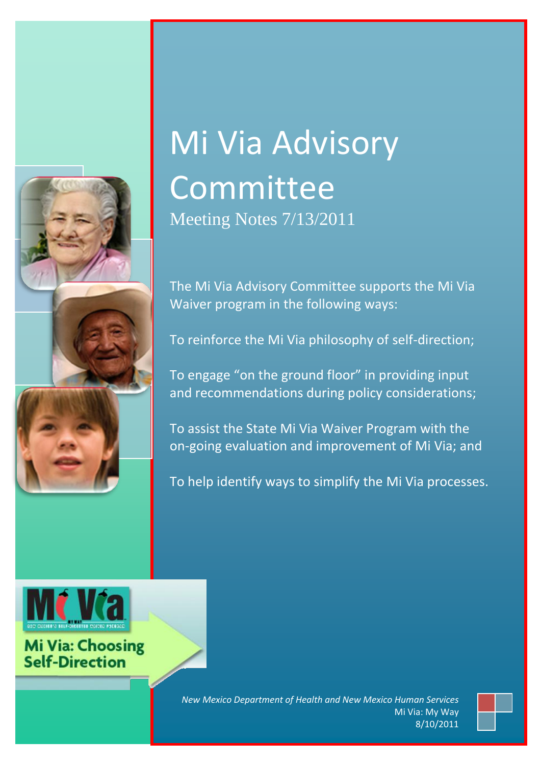

# Mi Via Advisory Committee

Meeting Notes 7/13/2011

The Mi Via Advisory Committee supports the Mi Via Waiver program in the following ways:

To reinforce the Mi Via philosophy of self-direction;

To engage "on the ground floor" in providing input and recommendations during policy considerations;

To assist the State Mi Via Waiver Program with the on-going evaluation and improvement of Mi Via; and

To help identify ways to simplify the Mi Via processes.



**Mi Via: Choosing**<br>Self-Direction

Mi Via: My Way | Confidential *New Mexico Department of Health and New Mexico Human Services* Mi Via: My Way 8/10/2011

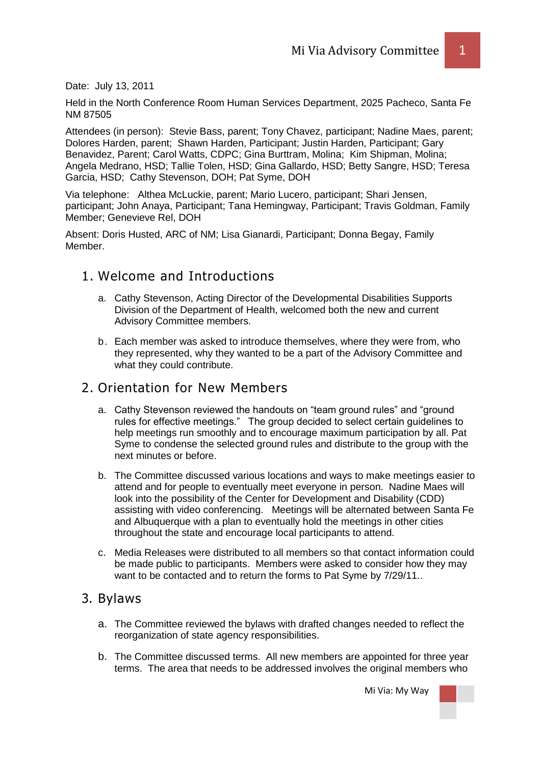Date: July 13, 2011

Held in the North Conference Room Human Services Department, 2025 Pacheco, Santa Fe NM 87505

Attendees (in person): Stevie Bass, parent; Tony Chavez, participant; Nadine Maes, parent; Dolores Harden, parent; Shawn Harden, Participant; Justin Harden, Participant; Gary Benavidez, Parent; Carol Watts, CDPC; Gina Burttram, Molina; Kim Shipman, Molina; Angela Medrano, HSD; Tallie Tolen, HSD; Gina Gallardo, HSD; Betty Sangre, HSD; Teresa Garcia, HSD; Cathy Stevenson, DOH; Pat Syme, DOH

Via telephone: Althea McLuckie, parent; Mario Lucero, participant; Shari Jensen, participant; John Anaya, Participant; Tana Hemingway, Participant; Travis Goldman, Family Member; Genevieve Rel, DOH

Absent: Doris Husted, ARC of NM; Lisa Gianardi, Participant; Donna Begay, Family Member.

# 1. Welcome and Introductions

- a. Cathy Stevenson, Acting Director of the Developmental Disabilities Supports Division of the Department of Health, welcomed both the new and current Advisory Committee members.
- b. Each member was asked to introduce themselves, where they were from, who they represented, why they wanted to be a part of the Advisory Committee and what they could contribute.

### 2. Orientation for New Members

- a. Cathy Stevenson reviewed the handouts on "team ground rules" and "ground rules for effective meetings." The group decided to select certain guidelines to help meetings run smoothly and to encourage maximum participation by all. Pat Syme to condense the selected ground rules and distribute to the group with the next minutes or before.
- b. The Committee discussed various locations and ways to make meetings easier to attend and for people to eventually meet everyone in person. Nadine Maes will look into the possibility of the Center for Development and Disability (CDD) assisting with video conferencing. Meetings will be alternated between Santa Fe and Albuquerque with a plan to eventually hold the meetings in other cities throughout the state and encourage local participants to attend.
- c. Media Releases were distributed to all members so that contact information could be made public to participants. Members were asked to consider how they may want to be contacted and to return the forms to Pat Syme by 7/29/11..

### 3. Bylaws

- a. The Committee reviewed the bylaws with drafted changes needed to reflect the reorganization of state agency responsibilities.
- b. The Committee discussed terms. All new members are appointed for three year terms. The area that needs to be addressed involves the original members who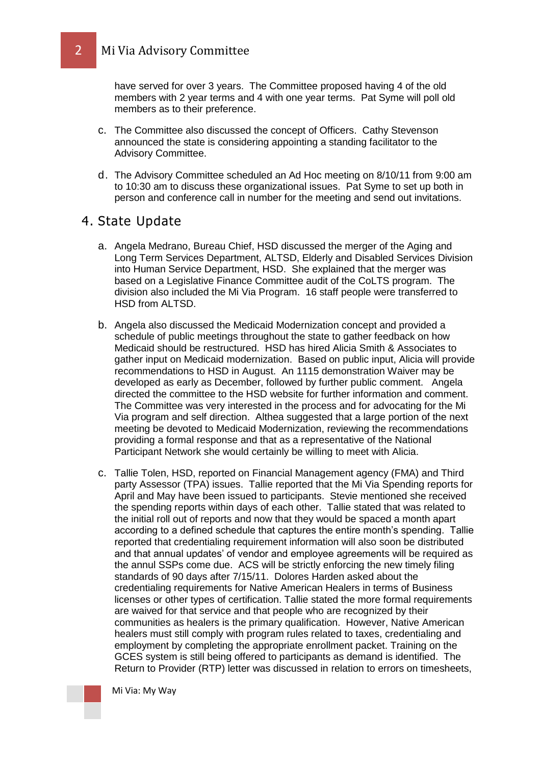have served for over 3 years. The Committee proposed having 4 of the old members with 2 year terms and 4 with one year terms. Pat Syme will poll old members as to their preference.

- c. The Committee also discussed the concept of Officers. Cathy Stevenson announced the state is considering appointing a standing facilitator to the Advisory Committee.
- d. The Advisory Committee scheduled an Ad Hoc meeting on 8/10/11 from 9:00 am to 10:30 am to discuss these organizational issues. Pat Syme to set up both in person and conference call in number for the meeting and send out invitations.

#### 4. State Update

- a. Angela Medrano, Bureau Chief, HSD discussed the merger of the Aging and Long Term Services Department, ALTSD, Elderly and Disabled Services Division into Human Service Department, HSD. She explained that the merger was based on a Legislative Finance Committee audit of the CoLTS program. The division also included the Mi Via Program. 16 staff people were transferred to HSD from ALTSD.
- b. Angela also discussed the Medicaid Modernization concept and provided a schedule of public meetings throughout the state to gather feedback on how Medicaid should be restructured. HSD has hired Alicia Smith & Associates to gather input on Medicaid modernization. Based on public input, Alicia will provide recommendations to HSD in August. An 1115 demonstration Waiver may be developed as early as December, followed by further public comment. Angela directed the committee to the HSD website for further information and comment. The Committee was very interested in the process and for advocating for the Mi Via program and self direction. Althea suggested that a large portion of the next meeting be devoted to Medicaid Modernization, reviewing the recommendations providing a formal response and that as a representative of the National Participant Network she would certainly be willing to meet with Alicia.
- c. Tallie Tolen, HSD, reported on Financial Management agency (FMA) and Third party Assessor (TPA) issues. Tallie reported that the Mi Via Spending reports for April and May have been issued to participants. Stevie mentioned she received the spending reports within days of each other. Tallie stated that was related to the initial roll out of reports and now that they would be spaced a month apart according to a defined schedule that captures the entire month's spending. Tallie reported that credentialing requirement information will also soon be distributed and that annual updates' of vendor and employee agreements will be required as the annul SSPs come due. ACS will be strictly enforcing the new timely filing standards of 90 days after 7/15/11. Dolores Harden asked about the credentialing requirements for Native American Healers in terms of Business licenses or other types of certification. Tallie stated the more formal requirements are waived for that service and that people who are recognized by their communities as healers is the primary qualification. However, Native American healers must still comply with program rules related to taxes, credentialing and employment by completing the appropriate enrollment packet. Training on the GCES system is still being offered to participants as demand is identified. The Return to Provider (RTP) letter was discussed in relation to errors on timesheets,